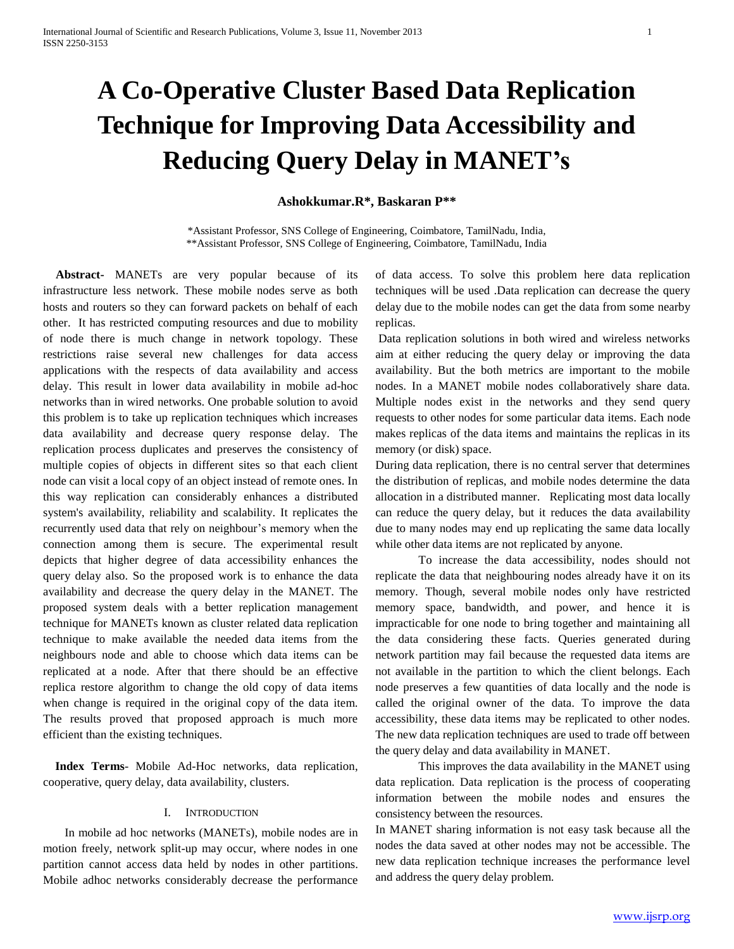# **A Co-Operative Cluster Based Data Replication Technique for Improving Data Accessibility and Reducing Query Delay in MANET's**

# **Ashokkumar.R\*, Baskaran P\*\***

\*Assistant Professor, SNS College of Engineering, Coimbatore, TamilNadu, India, \*\*Assistant Professor, SNS College of Engineering, Coimbatore, TamilNadu, India

**Abstract-** MANETs are very popular because of its infrastructure less network. These mobile nodes serve as both hosts and routers so they can forward packets on behalf of each other. It has restricted computing resources and due to mobility of node there is much change in network topology. These restrictions raise several new challenges for data access applications with the respects of data availability and access delay. This result in lower data availability in mobile ad-hoc networks than in wired networks. One probable solution to avoid this problem is to take up replication techniques which increases data availability and decrease query response delay. The replication process duplicates and preserves the consistency of multiple copies of objects in different sites so that each client node can visit a local copy of an object instead of remote ones. In this way replication can considerably enhances a distributed system's availability, reliability and scalability. It replicates the recurrently used data that rely on neighbour's memory when the connection among them is secure. The experimental result depicts that higher degree of data accessibility enhances the query delay also. So the proposed work is to enhance the data availability and decrease the query delay in the MANET. The proposed system deals with a better replication management technique for MANETs known as cluster related data replication technique to make available the needed data items from the neighbours node and able to choose which data items can be replicated at a node. After that there should be an effective replica restore algorithm to change the old copy of data items when change is required in the original copy of the data item. The results proved that proposed approach is much more efficient than the existing techniques.

Index Terms- Mobile Ad-Hoc networks, data replication, cooperative, query delay, data availability, clusters.

## I. INTRODUCTION

In mobile ad hoc networks (MANETs), mobile nodes are in motion freely, network split-up may occur, where nodes in one partition cannot access data held by nodes in other partitions. Mobile adhoc networks considerably decrease the performance of data access. To solve this problem here data replication techniques will be used .Data replication can decrease the query delay due to the mobile nodes can get the data from some nearby replicas.

Data replication solutions in both wired and wireless networks aim at either reducing the query delay or improving the data availability. But the both metrics are important to the mobile nodes. In a MANET mobile nodes collaboratively share data. Multiple nodes exist in the networks and they send query requests to other nodes for some particular data items. Each node makes replicas of the data items and maintains the replicas in its memory (or disk) space.

During data replication, there is no central server that determines the distribution of replicas, and mobile nodes determine the data allocation in a distributed manner. Replicating most data locally can reduce the query delay, but it reduces the data availability due to many nodes may end up replicating the same data locally while other data items are not replicated by anyone.

To increase the data accessibility, nodes should not replicate the data that neighbouring nodes already have it on its memory. Though, several mobile nodes only have restricted memory space, bandwidth, and power, and hence it is impracticable for one node to bring together and maintaining all the data considering these facts. Queries generated during network partition may fail because the requested data items are not available in the partition to which the client belongs. Each node preserves a few quantities of data locally and the node is called the original owner of the data. To improve the data accessibility, these data items may be replicated to other nodes. The new data replication techniques are used to trade off between the query delay and data availability in MANET.

This improves the data availability in the MANET using data replication. Data replication is the process of cooperating information between the mobile nodes and ensures the consistency between the resources.

In MANET sharing information is not easy task because all the nodes the data saved at other nodes may not be accessible. The new data replication technique increases the performance level and address the query delay problem.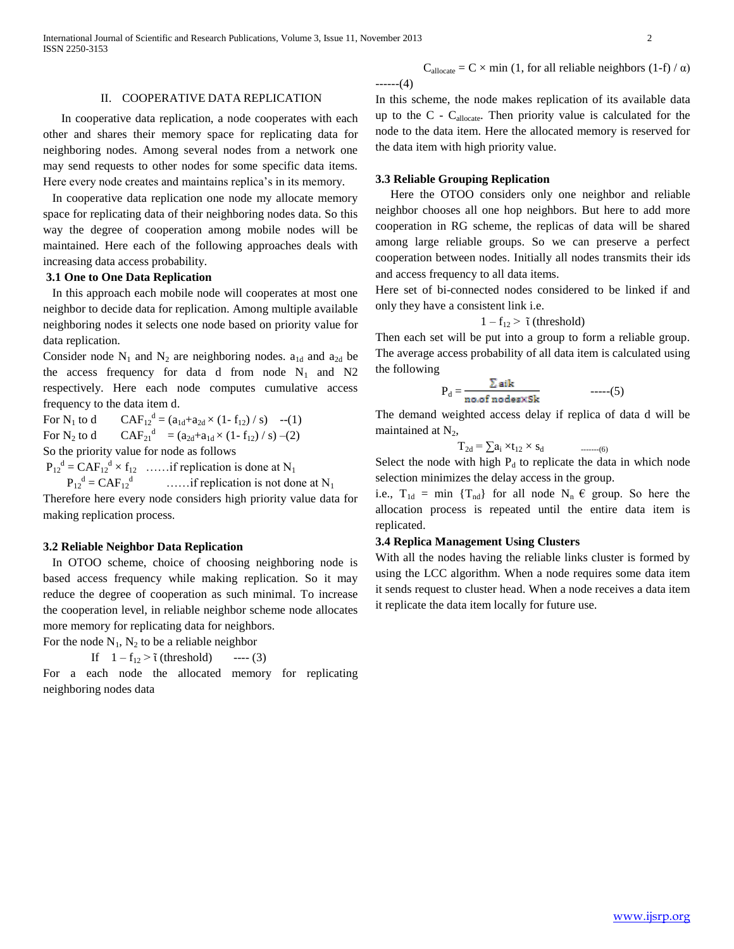International Journal of Scientific and Research Publications, Volume 3, Issue 11, November 2013 2 ISSN 2250-3153

## II. COOPERATIVE DATA REPLICATION

 In cooperative data replication, a node cooperates with each other and shares their memory space for replicating data for neighboring nodes. Among several nodes from a network one may send requests to other nodes for some specific data items. Here every node creates and maintains replica's in its memory.

 In cooperative data replication one node my allocate memory space for replicating data of their neighboring nodes data. So this way the degree of cooperation among mobile nodes will be maintained. Here each of the following approaches deals with increasing data access probability.

# **3.1 One to One Data Replication**

 In this approach each mobile node will cooperates at most one neighbor to decide data for replication. Among multiple available neighboring nodes it selects one node based on priority value for data replication.

Consider node  $N_1$  and  $N_2$  are neighboring nodes.  $a_{1d}$  and  $a_{2d}$  be the access frequency for data d from node  $N_1$  and N2 respectively. Here each node computes cumulative access frequency to the data item d.

For  $N_1$  to d  $d = (a_{1d} + a_{2d} \times (1 - f_{12}) / s)$  --(1) For  $N_2$  to d  $d = (a_{2d} + a_{1d} \times (1 - f_{12}) / s) - (2)$ So the priority value for node as follows

 $P_{12}^d = \text{CAF}_{12}^d \times f_{12}$  ...... if replication is done at N<sub>1</sub>

 $P_{12}^{\text{d}} = CAF_{12}^{\text{d}}$  $\dots$  if replication is not done at N<sub>1</sub>

Therefore here every node considers high priority value data for making replication process.

## **3.2 Reliable Neighbor Data Replication**

In OTOO scheme, choice of choosing neighboring node is based access frequency while making replication. So it may reduce the degree of cooperation as such minimal. To increase the cooperation level, in reliable neighbor scheme node allocates more memory for replicating data for neighbors.

For the node  $N_1$ ,  $N_2$  to be a reliable neighbor

If 
$$
1 - f_{12} > \tilde{\iota}
$$
 (threshold) --- (3)

For a each node the allocated memory for replicating neighboring nodes data

$$
---(4)
$$
 In this scheme, the node makes replication of its available data up to the C - C<sub>allocate</sub>. Then priority value is calculated for the node to the data item. Here the allocated memory is reserved for the data item with high priority value.

 $C_{\text{alloc}} = C \times \text{min} (1, \text{ for all reliable neighbors } (1-f) / \alpha)$ 

#### **3.3 Reliable Grouping Replication**

Here the OTOO considers only one neighbor and reliable neighbor chooses all one hop neighbors. But here to add more cooperation in RG scheme, the replicas of data will be shared among large reliable groups. So we can preserve a perfect cooperation between nodes. Initially all nodes transmits their ids and access frequency to all data items.

Here set of bi-connected nodes considered to be linked if and only they have a consistent link i.e.

$$
1-f_{12} \geq \tilde{\iota} \text{ (threshold)}
$$

Then each set will be put into a group to form a reliable group. The average access probability of all data item is calculated using the following

$$
P_d = \frac{\sum aik}{\text{no. of nodes} \times Sk} \qquad \qquad \text{---}(5)
$$

The demand weighted access delay if replica of data d will be maintained at  $N_2$ ,

 $T_{2d} = \sum a_i \times t_{12} \times s_d$  --------(6)

Select the node with high  $P_d$  to replicate the data in which node selection minimizes the delay access in the group.

i.e.,  $T_{1d}$  = min { $T_{nd}$ } for all node  $N_n \in \text{group}$ . So here the allocation process is repeated until the entire data item is replicated.

## **3.4 Replica Management Using Clusters**

With all the nodes having the reliable links cluster is formed by using the LCC algorithm. When a node requires some data item it sends request to cluster head. When a node receives a data item it replicate the data item locally for future use.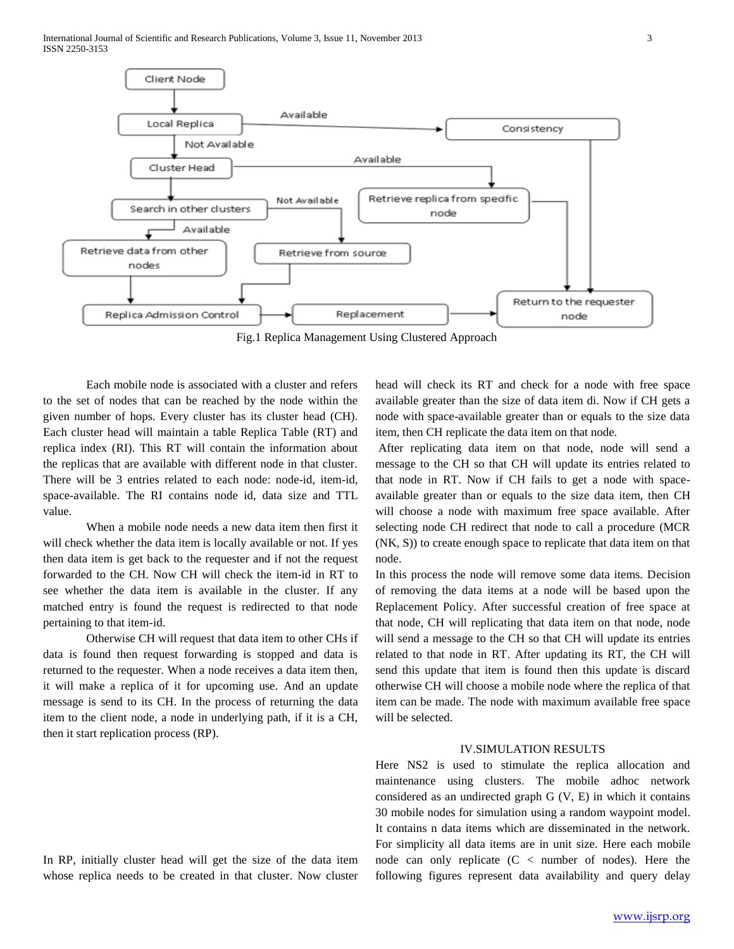International Journal of Scientific and Research Publications, Volume 3, Issue 11, November 2013 3 ISSN 2250-3153



Fig.1 Replica Management Using Clustered Approach

Each mobile node is associated with a cluster and refers to the set of nodes that can be reached by the node within the given number of hops. Every cluster has its cluster head (CH). Each cluster head will maintain a table Replica Table (RT) and replica index (RI). This RT will contain the information about the replicas that are available with different node in that cluster. There will be 3 entries related to each node: node-id, item-id, space-available. The RI contains node id, data size and TTL value.

When a mobile node needs a new data item then first it will check whether the data item is locally available or not. If yes then data item is get back to the requester and if not the request forwarded to the CH. Now CH will check the item-id in RT to see whether the data item is available in the cluster. If any matched entry is found the request is redirected to that node pertaining to that item-id.

Otherwise CH will request that data item to other CHs if data is found then request forwarding is stopped and data is returned to the requester. When a node receives a data item then, it will make a replica of it for upcoming use. And an update message is send to its CH. In the process of returning the data item to the client node, a node in underlying path, if it is a CH, then it start replication process (RP).

In RP, initially cluster head will get the size of the data item whose replica needs to be created in that cluster. Now cluster

head will check its RT and check for a node with free space available greater than the size of data item di. Now if CH gets a node with space-available greater than or equals to the size data item, then CH replicate the data item on that node.

After replicating data item on that node, node will send a message to the CH so that CH will update its entries related to that node in RT. Now if CH fails to get a node with spaceavailable greater than or equals to the size data item, then CH will choose a node with maximum free space available. After selecting node CH redirect that node to call a procedure (MCR (NK, S)) to create enough space to replicate that data item on that node.

In this process the node will remove some data items. Decision of removing the data items at a node will be based upon the Replacement Policy. After successful creation of free space at that node, CH will replicating that data item on that node, node will send a message to the CH so that CH will update its entries related to that node in RT. After updating its RT, the CH will send this update that item is found then this update is discard otherwise CH will choose a mobile node where the replica of that item can be made. The node with maximum available free space will be selected.

## IV.SIMULATION RESULTS

Here NS2 is used to stimulate the replica allocation and maintenance using clusters. The mobile adhoc network considered as an undirected graph G (V, E) in which it contains 30 mobile nodes for simulation using a random waypoint model. It contains n data items which are disseminated in the network. For simplicity all data items are in unit size. Here each mobile node can only replicate  $(C <$  number of nodes). Here the following figures represent data availability and query delay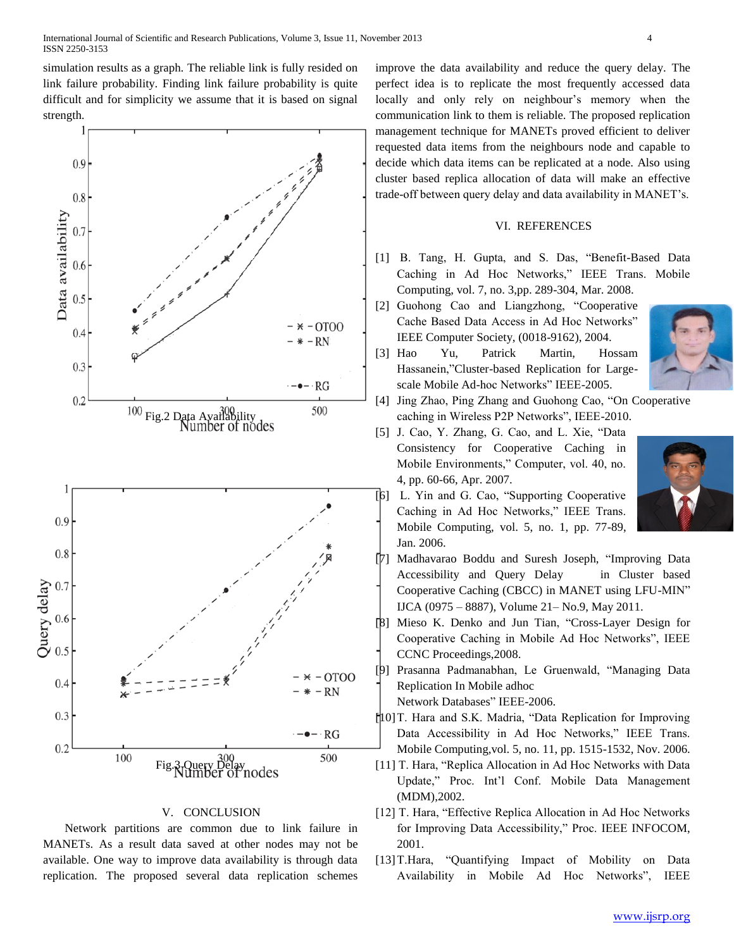simulation results as a graph. The reliable link is fully resided on link failure probability. Finding link failure probability is quite difficult and for simplicity we assume that it is based on signal strength.



## V. CONCLUSION

Network partitions are common due to link failure in MANETs. As a result data saved at other nodes may not be available. One way to improve data availability is through data replication. The proposed several data replication schemes improve the data availability and reduce the query delay. The perfect idea is to replicate the most frequently accessed data locally and only rely on neighbour's memory when the communication link to them is reliable. The proposed replication management technique for MANETs proved efficient to deliver requested data items from the neighbours node and capable to decide which data items can be replicated at a node. Also using cluster based replica allocation of data will make an effective trade-off between query delay and data availability in MANET's.

## VI. REFERENCES

- [1] B. Tang, H. Gupta, and S. Das, "Benefit-Based Data Caching in Ad Hoc Networks," IEEE Trans. Mobile Computing, vol. 7, no. 3,pp. 289-304, Mar. 2008.
- [2] Guohong Cao and Liangzhong, "Cooperative Cache Based Data Access in Ad Hoc Networks" IEEE Computer Society, (0018-9162), 2004.
- [3] Hao Yu, Patrick Martin, Hossam Hassanein,"Cluster-based Replication for Largescale Mobile Ad-hoc Networks" IEEE-2005.
- [4] Jing Zhao, Ping Zhang and Guohong Cao, "On Cooperative caching in Wireless P2P Networks", IEEE-2010.
- [5] J. Cao, Y. Zhang, G. Cao, and L. Xie, "Data Consistency for Cooperative Caching in Mobile Environments," Computer, vol. 40, no. 4, pp. 60-66, Apr. 2007.



- [6] L. Yin and G. Cao, "Supporting Cooperative Caching in Ad Hoc Networks," IEEE Trans. Mobile Computing, vol. 5, no. 1, pp. 77-89, Jan. 2006.
- [7] Madhavarao Boddu and Suresh Joseph, "Improving Data Accessibility and Query Delay in Cluster based Cooperative Caching (CBCC) in MANET using LFU-MIN" IJCA (0975 – 8887), Volume 21– No.9, May 2011.
- [8] Mieso K. Denko and Jun Tian, "Cross-Layer Design for Cooperative Caching in Mobile Ad Hoc Networks", IEEE CCNC Proceedings,2008.
- [9] Prasanna Padmanabhan, Le Gruenwald, "Managing Data Replication In Mobile adhoc

Network Databases" IEEE-2006.

- [10]T. Hara and S.K. Madria, "Data Replication for Improving Data Accessibility in Ad Hoc Networks," IEEE Trans. Mobile Computing,vol. 5, no. 11, pp. 1515-1532, Nov. 2006.
- [11] T. Hara, "Replica Allocation in Ad Hoc Networks with Data Update," Proc. Int'l Conf. Mobile Data Management (MDM),2002.
- [12] T. Hara, "Effective Replica Allocation in Ad Hoc Networks for Improving Data Accessibility," Proc. IEEE INFOCOM, 2001.
- [13]T.Hara, "Quantifying Impact of Mobility on Data Availability in Mobile Ad Hoc Networks", IEEE